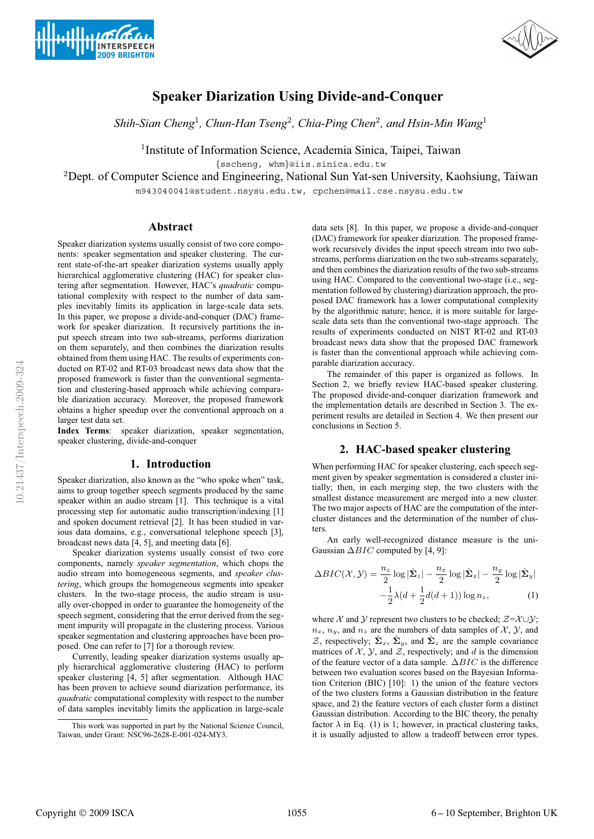



# **Speaker Diarization Using Divide-and-Conquer**

*Shih-Sian Cheng*<sup>1</sup>*, Chun-Han Tseng*<sup>2</sup>*, Chia-Ping Chen*<sup>2</sup>*, and Hsin-Min Wang*<sup>1</sup>

<sup>1</sup>Institute of Information Science, Academia Sinica, Taipei, Taiwan

{sscheng, whm}@iis.sinica.edu.tw

<sup>2</sup>Dept. of Computer Science and Engineering, National Sun Yat-sen University, Kaohsiung, Taiwan

m943040041@student.nsysu.edu.tw, cpchen@mail.cse.nsysu.edu.tw

## **Abstract**

Speaker diarization systems usually consist of two core components: speaker segmentation and speaker clustering. The current state-of-the-art speaker diarization systems usually apply hierarchical agglomerative clustering (HAC) for speaker clustering after segmentation. However, HAC's *quadratic* computational complexity with respect to the number of data samples inevitably limits its application in large-scale data sets. In this paper, we propose a divide-and-conquer (DAC) framework for speaker diarization. It recursively partitions the input speech stream into two sub-streams, performs diarization on them separately, and then combines the diarization results obtained from them using HAC. The results of experiments conducted on RT-02 and RT-03 broadcast news data show that the proposed framework is faster than the conventional segmentation and clustering-based approach while achieving comparable diarization accuracy. Moreover, the proposed framework obtains a higher speedup over the conventional approach on a larger test data set.

**Index Terms**: speaker diarization, speaker segmentation, speaker clustering, divide-and-conquer

## **1. Introduction**

Speaker diarization, also known as the "who spoke when" task, aims to group together speech segments produced by the same speaker within an audio stream [1]. This technique is a vital processing step for automatic audio transcription/indexing [1] and spoken document retrieval [2]. It has been studied in various data domains, e.g., conversational telephone speech [3], broadcast news data [4, 5], and meeting data [6].

Speaker diarization systems usually consist of two core components, namely *speaker segmentation*, which chops the audio stream into homogeneous segments, and *speaker clustering*, which groups the homogeneous segments into speaker clusters. In the two-stage process, the audio stream is usually over-chopped in order to guarantee the homogeneity of the speech segment, considering that the error derived from the segment impurity will propagate in the clustering process. Various speaker segmentation and clustering approaches have been proposed. One can refer to [7] for a thorough review.

Currently, leading speaker diarization systems usually apply hierarchical agglomerative clustering (HAC) to perform speaker clustering [4, 5] after segmentation. Although HAC has been proven to achieve sound diarization performance, its *quadratic* computational complexity with respect to the number of data samples inevitably limits the application in large-scale data sets [8]. In this paper, we propose a divide-and-conquer (DAC) framework for speaker diarization. The proposed framework recursively divides the input speech stream into two substreams, performs diarization on the two sub-streams separately, and then combines the diarization results of the two sub-streams using HAC. Compared to the conventional two-stage (i.e., segmentation followed by clustering) diarization approach, the proposed DAC framework has a lower computational complexity by the algorithmic nature; hence, it is more suitable for largescale data sets than the conventional two-stage approach. The results of experiments conducted on NIST RT-02 and RT-03 broadcast news data show that the proposed DAC framework is faster than the conventional approach while achieving comparable diarization accuracy.

The remainder of this paper is organized as follows. In Section 2, we briefly review HAC-based speaker clustering. The proposed divide-and-conquer diarization framework and the implementation details are described in Section 3. The experiment results are detailed in Section 4. We then present our conclusions in Section 5.

### **2. HAC-based speaker clustering**

When performing HAC for speaker clustering, each speech segment given by speaker segmentation is considered a cluster initially; then, in each merging step, the two clusters with the smallest distance measurement are merged into a new cluster. The two major aspects of HAC are the computation of the intercluster distances and the determination of the number of clusters.

An early well-recognized distance measure is the uni-Gaussian  $\Delta BIC$  computed by [4, 9]:

$$
\Delta BIC(\mathcal{X}, \mathcal{Y}) = \frac{n_z}{2} \log |\hat{\Sigma}_z| - \frac{n_x}{2} \log |\hat{\Sigma}_x| - \frac{n_y}{2} \log |\hat{\Sigma}_y| - \frac{1}{2} \lambda (d + \frac{1}{2} d(d+1)) \log n_z,
$$
 (1)

where X and Y represent two clusters to be checked;  $\mathcal{Z} = \mathcal{X} \cup \mathcal{Y}$ ;  $n_x$ ,  $n_y$ , and  $n_z$  are the numbers of data samples of X, Y, and  $\mathcal{Z}$ , respectively;  $\hat{\Sigma}_x$ ,  $\hat{\Sigma}_y$ , and  $\hat{\Sigma}_z$  are the sample covariance matrices of  $\mathcal{X}, \mathcal{Y},$  and  $\mathcal{Z}$ , respectively; and d is the dimension of the feature vector of a data sample.  $\Delta BIC$  is the difference between two evaluation scores based on the Bayesian Information Criterion (BIC) [10]: 1) the union of the feature vectors of the two clusters forms a Gaussian distribution in the feature space, and 2) the feature vectors of each cluster form a distinct Gaussian distribution. According to the BIC theory, the penalty factor  $\lambda$  in Eq. (1) is 1; however, in practical clustering tasks, it is usually adjusted to allow a tradeoff between error types.

This work was supported in part by the National Science Council, Taiwan, under Grant: NSC96-2628-E-001-024-MY3.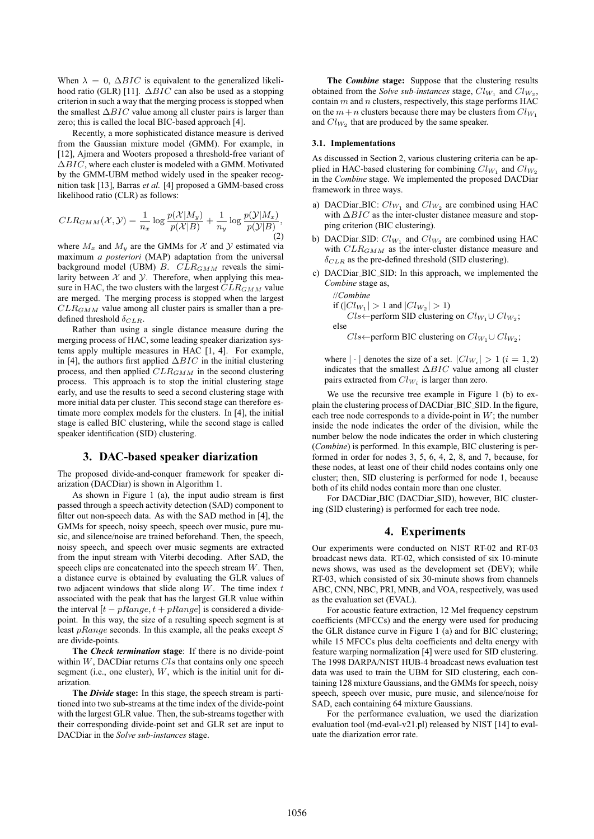When  $\lambda = 0$ ,  $\Delta BIC$  is equivalent to the generalized likelihood ratio (GLR) [11].  $\Delta BIC$  can also be used as a stopping criterion in such a way that the merging process is stopped when the smallest  $\Delta BIC$  value among all cluster pairs is larger than zero; this is called the local BIC-based approach [4].

Recently, a more sophisticated distance measure is derived from the Gaussian mixture model (GMM). For example, in [12], Ajmera and Wooters proposed a threshold-free variant of ΔBIC, where each cluster is modeled with a GMM. Motivated by the GMM-UBM method widely used in the speaker recognition task [13], Barras *et al.* [4] proposed a GMM-based cross likelihood ratio (CLR) as follows:

$$
CLR_{GMM}(\mathcal{X},\mathcal{Y}) = \frac{1}{n_x} \log \frac{p(\mathcal{X}|M_y)}{p(\mathcal{X}|B)} + \frac{1}{n_y} \log \frac{p(\mathcal{Y}|M_x)}{p(\mathcal{Y}|B)},
$$
\n(2)

where  $M_x$  and  $M_y$  are the GMMs for X and Y estimated via maximum *a posteriori* (MAP) adaptation from the universal background model (UBM)  $B.$   $CLR_{GMM}$  reveals the similarity between  $X$  and  $Y$ . Therefore, when applying this measure in HAC, the two clusters with the largest  $CLR_{GMM}$  value are merged. The merging process is stopped when the largest  $CLR_{GMM}$  value among all cluster pairs is smaller than a predefined threshold  $\delta_{CLR}$ .

Rather than using a single distance measure during the merging process of HAC, some leading speaker diarization systems apply multiple measures in HAC [1, 4]. For example, in [4], the authors first applied  $\Delta BIC$  in the initial clustering process, and then applied  $CLR_{GMM}$  in the second clustering process. This approach is to stop the initial clustering stage early, and use the results to seed a second clustering stage with more initial data per cluster. This second stage can therefore estimate more complex models for the clusters. In [4], the initial stage is called BIC clustering, while the second stage is called speaker identification (SID) clustering.

## **3. DAC-based speaker diarization**

The proposed divide-and-conquer framework for speaker diarization (DACDiar) is shown in Algorithm 1.

As shown in Figure 1 (a), the input audio stream is first passed through a speech activity detection (SAD) component to filter out non-speech data. As with the SAD method in [4], the GMMs for speech, noisy speech, speech over music, pure music, and silence/noise are trained beforehand. Then, the speech, noisy speech, and speech over music segments are extracted from the input stream with Viterbi decoding. After SAD, the speech clips are concatenated into the speech stream  $W$ . Then, a distance curve is obtained by evaluating the GLR values of two adjacent windows that slide along  $W$ . The time index  $t$ associated with the peak that has the largest GLR value within the interval  $[t - pRange, t + pRange]$  is considered a dividepoint. In this way, the size of a resulting speech segment is at least  $pRange$  seconds. In this example, all the peaks except  $S$ are divide-points.

**The** *Check termination* **stage**: If there is no divide-point within  $W$ , DACDiar returns  $Cls$  that contains only one speech segment (i.e., one cluster),  $W$ , which is the initial unit for diarization.

**The** *Divide* **stage:** In this stage, the speech stream is partitioned into two sub-streams at the time index of the divide-point with the largest GLR value. Then, the sub-streams together with their corresponding divide-point set and GLR set are input to DACDiar in the *Solve sub-instances* stage.

**The** *Combine* **stage:** Suppose that the clustering results obtained from the *Solve sub-instances* stage,  $Cl_{W_1}$  and  $Cl_{W_2}$ , contain  $m$  and  $n$  clusters, respectively, this stage performs HAC on the  $m+n$  clusters because there may be clusters from  $Cl_{W_1}$ and  $Cl_{W_2}$  that are produced by the same speaker.

#### **3.1. Implementations**

As discussed in Section 2, various clustering criteria can be applied in HAC-based clustering for combining  $Cl_{W_1}$  and  $Cl_{W_2}$ in the *Combine* stage. We implemented the proposed DACDiar framework in three ways.

- a) DACDiar BIC:  $Cl_{W_1}$  and  $Cl_{W_2}$  are combined using HAC with  $\Delta BIC$  as the inter-cluster distance measure and stopping criterion (BIC clustering).
- b) DACDiar\_SID:  $Cl_{W_1}$  and  $Cl_{W_2}$  are combined using HAC with  $CLR_{GMM}$  as the inter-cluster distance measure and  $\delta_{CLR}$  as the pre-defined threshold (SID clustering).
- c) DACDiar BIC SID: In this approach, we implemented the *Combine* stage as,

//Combine  
if (
$$
|Cl_{W_1}| > 1
$$
 and  $|Cl_{W_2}| > 1$ )  
 $Cls \leftarrow$ perform SID clustering on  $Cl_{W_1} \cup Cl_{W_2}$ ;  
else

 $Cls \leftarrow$  perform BIC clustering on  $Cl_{W_1} \cup Cl_{W_2}$ ;

where  $|\cdot|$  denotes the size of a set.  $|Cl_{W_i}| > 1$   $(i = 1, 2)$ indicates that the smallest  $\Delta BIC$  value among all cluster pairs extracted from  $Cl_{W_i}$  is larger than zero.

We use the recursive tree example in Figure 1 (b) to explain the clustering process of DACDiar BIC SID. In the figure, each tree node corresponds to a divide-point in  $W$ ; the number inside the node indicates the order of the division, while the number below the node indicates the order in which clustering (*Combine*) is performed. In this example, BIC clustering is performed in order for nodes 3, 5, 6, 4, 2, 8, and 7, because, for these nodes, at least one of their child nodes contains only one cluster; then, SID clustering is performed for node 1, because both of its child nodes contain more than one cluster.

For DACDiar BIC (DACDiar SID), however, BIC clustering (SID clustering) is performed for each tree node.

## **4. Experiments**

Our experiments were conducted on NIST RT-02 and RT-03 broadcast news data. RT-02, which consisted of six 10-minute news shows, was used as the development set (DEV); while RT-03, which consisted of six 30-minute shows from channels ABC, CNN, NBC, PRI, MNB, and VOA, respectively, was used as the evaluation set (EVAL).

For acoustic feature extraction, 12 Mel frequency cepstrum coefficients (MFCCs) and the energy were used for producing the GLR distance curve in Figure 1 (a) and for BIC clustering; while 15 MFCCs plus delta coefficients and delta energy with feature warping normalization [4] were used for SID clustering. The 1998 DARPA/NIST HUB-4 broadcast news evaluation test data was used to train the UBM for SID clustering, each containing 128 mixture Gaussians, and the GMMs for speech, noisy speech, speech over music, pure music, and silence/noise for SAD, each containing 64 mixture Gaussians.

For the performance evaluation, we used the diarization evaluation tool (md-eval-v21.pl) released by NIST [14] to evaluate the diarization error rate.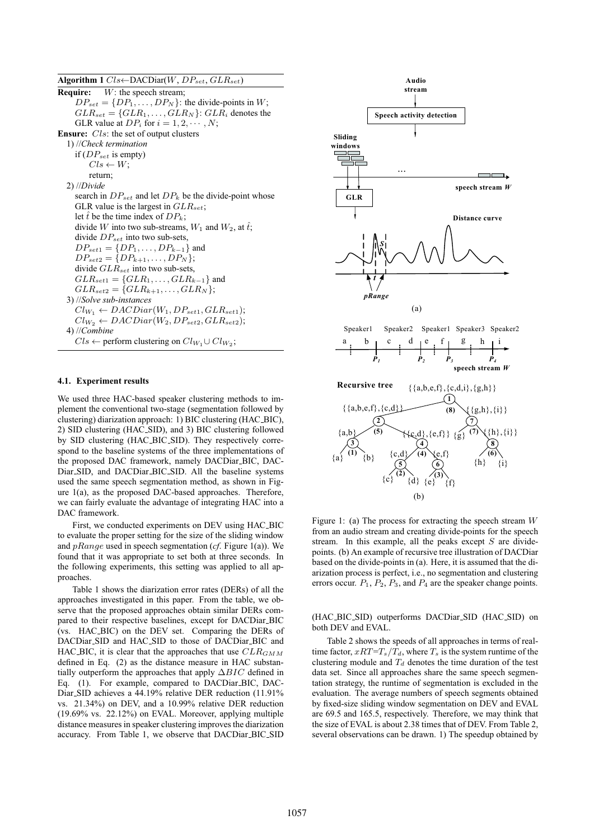**Algorithm 1**  $Cls \leftarrow \text{DACDiar}(W, DP_{set}, GLR_{set})$ **Require:** W: the speech stream;  $DP_{set} = \{DP_1, \ldots, DP_N\}$ : the divide-points in W;  $GLR_{set} = \{GLR_1, \ldots, GLR_N\}$ :  $GLR_i$  denotes the GLR value at  $DP_i$  for  $i = 1, 2, \dots, N$ ; **Ensure:** *Cls*: the set of output clusters 1) //*Check termination* if  $(DP_{set}$  is empty)  $Cls \leftarrow W$ ; return; 2) //*Divide* search in  $DP_{set}$  and let  $DP_k$  be the divide-point whose GLR value is the largest in  $GLR_{set}$ ; let  $\hat{t}$  be the time index of  $DP_k$ ; divide W into two sub-streams,  $W_1$  and  $W_2$ , at  $\hat{t}$ ; divide  $DP_{set}$  into two sub-sets,  $DP_{set1} = \{DP_1, \ldots, DP_{k-1}\}\$ and  $DP_{set2} = \{DP_{k+1}, \ldots, DP_N\};$ divide  $GLR_{set}$  into two sub-sets,  $GLR_{set1} = \{GLR_1, \ldots, GLR_{k-1}\}\$ and  $GLR_{set2} = \{GLR_{k+1}, \ldots, GLR_N\};$ 3) //*Solve sub-instances*  $Cl_{W_1} \leftarrow DACDiar(W_1, DP_{set1}, GLR_{set1});$  $Cl_{W_2} \leftarrow DACDiar(W_2, DP_{set2}, GLR_{set2});$ 4) //*Combine*  $Cls \leftarrow$  perform clustering on  $Cl_{W_1} \cup Cl_{W_2}$ ;

#### **4.1. Experiment results**

We used three HAC-based speaker clustering methods to implement the conventional two-stage (segmentation followed by clustering) diarization approach: 1) BIC clustering (HAC BIC), 2) SID clustering (HAC SID), and 3) BIC clustering followed by SID clustering (HAC BIC SID). They respectively correspond to the baseline systems of the three implementations of the proposed DAC framework, namely DACDiar<sub>-BIC</sub>, DAC-Diar SID, and DACDiar BIC SID. All the baseline systems used the same speech segmentation method, as shown in Figure 1(a), as the proposed DAC-based approaches. Therefore, we can fairly evaluate the advantage of integrating HAC into a DAC framework.

First, we conducted experiments on DEV using HAC BIC to evaluate the proper setting for the size of the sliding window and pRange used in speech segmentation (*cf*. Figure 1(a)). We found that it was appropriate to set both at three seconds. In the following experiments, this setting was applied to all approaches.

Table 1 shows the diarization error rates (DERs) of all the approaches investigated in this paper. From the table, we observe that the proposed approaches obtain similar DERs compared to their respective baselines, except for DACDiar BIC (vs. HAC BIC) on the DEV set. Comparing the DERs of DACDiar SID and HAC SID to those of DACDiar BIC and HAC BIC, it is clear that the approaches that use  $CLR_{GMM}$ defined in Eq. (2) as the distance measure in HAC substantially outperform the approaches that apply  $\Delta BIC$  defined in Eq. (1). For example, compared to DACDiar BIC, DAC-Diar SID achieves a 44.19% relative DER reduction (11.91% vs. 21.34%) on DEV, and a 10.99% relative DER reduction (19.69% vs. 22.12%) on EVAL. Moreover, applying multiple distance measures in speaker clustering improves the diarization accuracy. From Table 1, we observe that DACDiar\_BIC\_SID



Figure 1: (a) The process for extracting the speech stream  $W$ from an audio stream and creating divide-points for the speech stream. In this example, all the peaks except  $S$  are dividepoints. (b) An example of recursive tree illustration of DACDiar based on the divide-points in (a). Here, it is assumed that the diarization process is perfect, i.e., no segmentation and clustering errors occur.  $P_1$ ,  $P_2$ ,  $P_3$ , and  $P_4$  are the speaker change points.

(HAC BIC SID) outperforms DACDiar SID (HAC SID) on both DEV and EVAL.

Table 2 shows the speeds of all approaches in terms of realtime factor,  $xRT=T_s/T_d$ , where  $T_s$  is the system runtime of the clustering module and  $T<sub>d</sub>$  denotes the time duration of the test data set. Since all approaches share the same speech segmentation strategy, the runtime of segmentation is excluded in the evaluation. The average numbers of speech segments obtained by fixed-size sliding window segmentation on DEV and EVAL are 69.5 and 165.5, respectively. Therefore, we may think that the size of EVAL is about 2.38 times that of DEV. From Table 2, several observations can be drawn. 1) The speedup obtained by